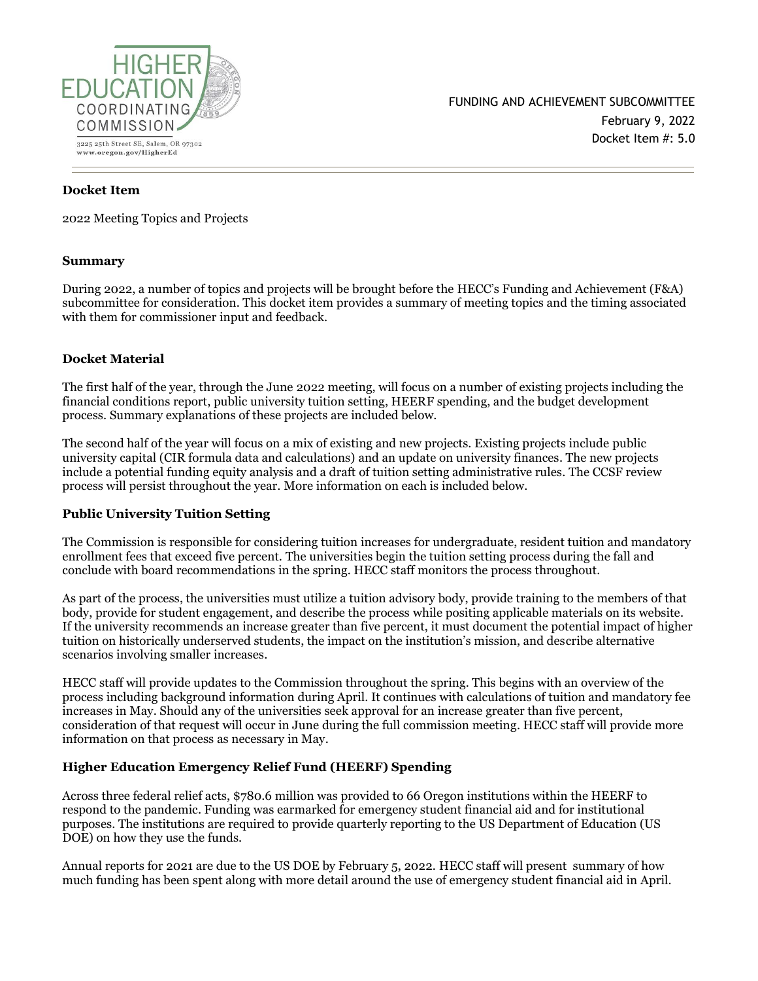

# **Docket Item**

2022 Meeting Topics and Projects

### **Summary**

During 2022, a number of topics and projects will be brought before the HECC's Funding and Achievement (F&A) subcommittee for consideration. This docket item provides a summary of meeting topics and the timing associated with them for commissioner input and feedback.

## **Docket Material**

The first half of the year, through the June 2022 meeting, will focus on a number of existing projects including the financial conditions report, public university tuition setting, HEERF spending, and the budget development process. Summary explanations of these projects are included below.

The second half of the year will focus on a mix of existing and new projects. Existing projects include public university capital (CIR formula data and calculations) and an update on university finances. The new projects include a potential funding equity analysis and a draft of tuition setting administrative rules. The CCSF review process will persist throughout the year. More information on each is included below.

# **Public University Tuition Setting**

The Commission is responsible for considering tuition increases for undergraduate, resident tuition and mandatory enrollment fees that exceed five percent. The universities begin the tuition setting process during the fall and conclude with board recommendations in the spring. HECC staff monitors the process throughout.

As part of the process, the universities must utilize a tuition advisory body, provide training to the members of that body, provide for student engagement, and describe the process while positing applicable materials on its website. If the university recommends an increase greater than five percent, it must document the potential impact of higher tuition on historically underserved students, the impact on the institution's mission, and describe alternative scenarios involving smaller increases.

HECC staff will provide updates to the Commission throughout the spring. This begins with an overview of the process including background information during April. It continues with calculations of tuition and mandatory fee increases in May. Should any of the universities seek approval for an increase greater than five percent, consideration of that request will occur in June during the full commission meeting. HECC staff will provide more information on that process as necessary in May.

# **Higher Education Emergency Relief Fund (HEERF) Spending**

Across three federal relief acts, \$780.6 million was provided to 66 Oregon institutions within the HEERF to respond to the pandemic. Funding was earmarked for emergency student financial aid and for institutional purposes. The institutions are required to provide quarterly reporting to the US Department of Education (US DOE) on how they use the funds.

Annual reports for 2021 are due to the US DOE by February 5, 2022. HECC staff will present summary of how much funding has been spent along with more detail around the use of emergency student financial aid in April.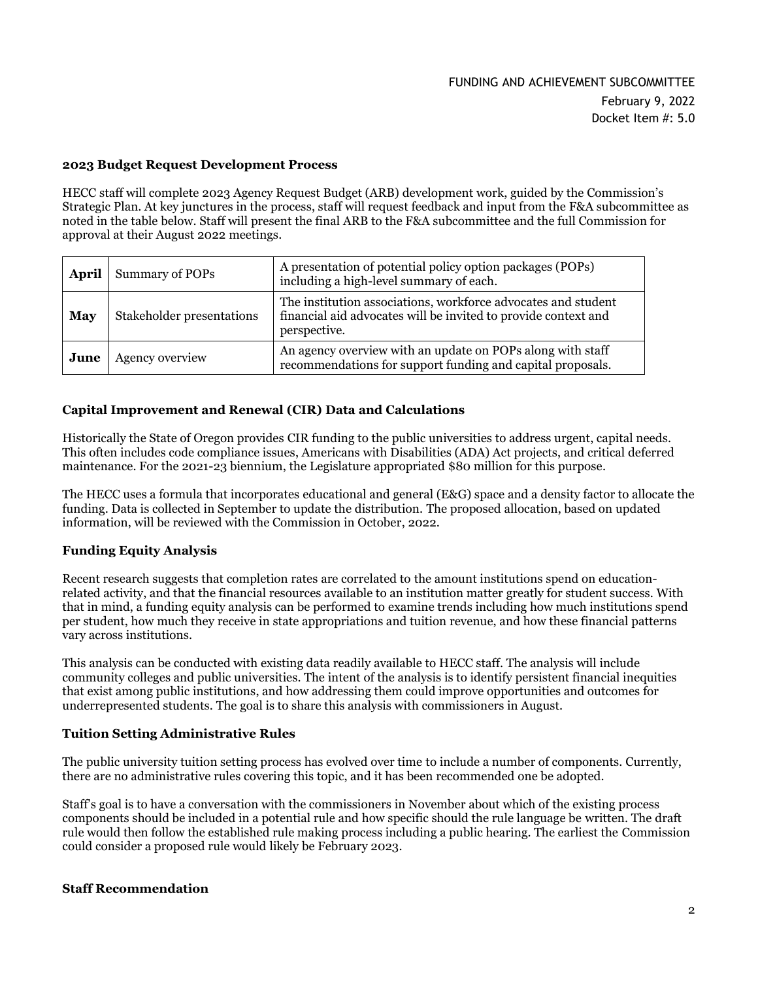### **2023 Budget Request Development Process**

HECC staff will complete 2023 Agency Request Budget (ARB) development work, guided by the Commission's Strategic Plan. At key junctures in the process, staff will request feedback and input from the F&A subcommittee as noted in the table below. Staff will present the final ARB to the F&A subcommittee and the full Commission for approval at their August 2022 meetings.

| April | Summary of POPs           | A presentation of potential policy option packages (POPs)<br>including a high-level summary of each.                                            |
|-------|---------------------------|-------------------------------------------------------------------------------------------------------------------------------------------------|
| May   | Stakeholder presentations | The institution associations, workforce advocates and student<br>financial aid advocates will be invited to provide context and<br>perspective. |
| June  | Agency overview           | An agency overview with an update on POPs along with staff<br>recommendations for support funding and capital proposals.                        |

### **Capital Improvement and Renewal (CIR) Data and Calculations**

Historically the State of Oregon provides CIR funding to the public universities to address urgent, capital needs. This often includes code compliance issues, Americans with Disabilities (ADA) Act projects, and critical deferred maintenance. For the 2021-23 biennium, the Legislature appropriated \$80 million for this purpose.

The HECC uses a formula that incorporates educational and general (E&G) space and a density factor to allocate the funding. Data is collected in September to update the distribution. The proposed allocation, based on updated information, will be reviewed with the Commission in October, 2022.

### **Funding Equity Analysis**

Recent research suggests that completion rates are correlated to the amount institutions spend on educationrelated activity, and that the financial resources available to an institution matter greatly for student success. With that in mind, a funding equity analysis can be performed to examine trends including how much institutions spend per student, how much they receive in state appropriations and tuition revenue, and how these financial patterns vary across institutions.

This analysis can be conducted with existing data readily available to HECC staff. The analysis will include community colleges and public universities. The intent of the analysis is to identify persistent financial inequities that exist among public institutions, and how addressing them could improve opportunities and outcomes for underrepresented students. The goal is to share this analysis with commissioners in August.

## **Tuition Setting Administrative Rules**

The public university tuition setting process has evolved over time to include a number of components. Currently, there are no administrative rules covering this topic, and it has been recommended one be adopted.

Staff's goal is to have a conversation with the commissioners in November about which of the existing process components should be included in a potential rule and how specific should the rule language be written. The draft rule would then follow the established rule making process including a public hearing. The earliest the Commission could consider a proposed rule would likely be February 2023.

#### **Staff Recommendation**